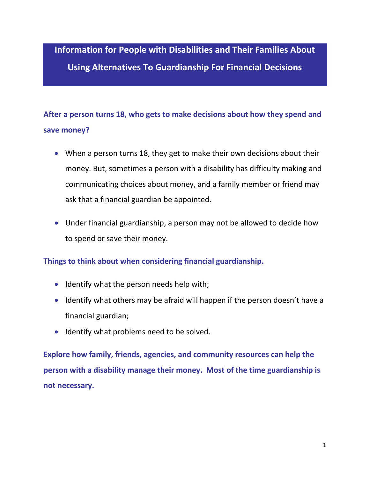**Information for People with Disabilities and Their Families About Using Alternatives To Guardianship For Financial Decisions**

# **After a person turns 18, who gets to make decisions about how they spend and save money?**

- When a person turns 18, they get to make their own decisions about their money. But, sometimes a person with a disability has difficulty making and communicating choices about money, and a family member or friend may ask that a financial guardian be appointed.
- Under financial guardianship, a person may not be allowed to decide how to spend or save their money.

#### **Things to think about when considering financial guardianship.**

- Identify what the person needs help with;
- Identify what others may be afraid will happen if the person doesn't have a financial guardian;
- Identify what problems need to be solved.

**Explore how family, friends, agencies, and community resources can help the person with a disability manage their money. Most of the time guardianship is not necessary.**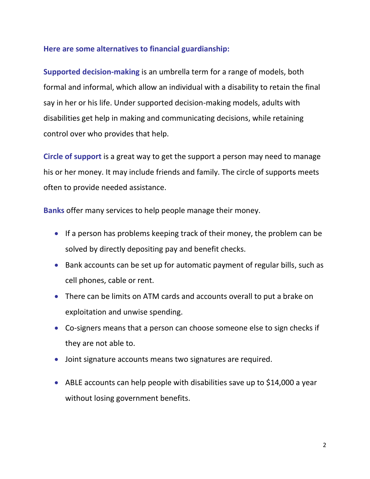#### **Here are some alternatives to financial guardianship:**

**Supported decision-making** is an umbrella term for a range of models, both formal and informal, which allow an individual with a disability to retain the final say in her or his life. Under supported decision-making models, adults with disabilities get help in making and communicating decisions, while retaining control over who provides that help.

**Circle of support** is a great way to get the support a person may need to manage his or her money. It may include friends and family. The circle of supports meets often to provide needed assistance.

**Banks** offer many services to help people manage their money.

- If a person has problems keeping track of their money, the problem can be solved by directly depositing pay and benefit checks.
- Bank accounts can be set up for automatic payment of regular bills, such as cell phones, cable or rent.
- There can be limits on ATM cards and accounts overall to put a brake on exploitation and unwise spending.
- Co-signers means that a person can choose someone else to sign checks if they are not able to.
- Joint signature accounts means two signatures are required.
- [ABLE accounts](http://www.ablenrc.org/) can help people with disabilities save up to \$14,000 a year without losing government benefits.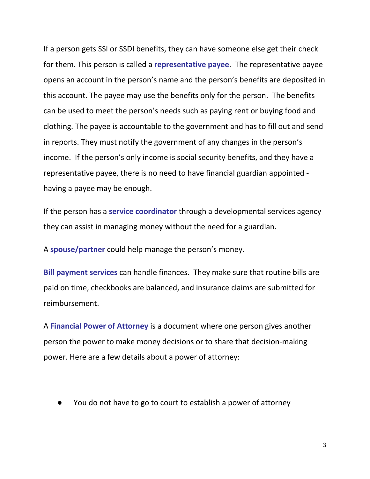If a person gets SSI or SSDI benefits, they can have someone else get their check for them. This person is called a **representative payee**. The representative payee opens an account in the person's name and the person's benefits are deposited in this account. The payee may use the benefits only for the person. The benefits can be used to meet the person's needs such as paying rent or buying food and clothing. The payee is accountable to the government and has to fill out and send in reports. They must notify the government of any changes in the person's income. If the person's only income is social security benefits, and they have a representative payee, there is no need to have financial guardian appointed having a payee may be enough.

If the person has a **service coordinator** through a developmental services agency they can assist in managing money without the need for a guardian.

A **spouse/partner** could help manage the person's money.

**Bill payment services** can handle finances. They make sure that routine bills are paid on time, checkbooks are balanced, and insurance claims are submitted for reimbursement.

A **Financial Power of Attorney** is a document where one person gives another person the power to make money decisions or to share that decision-making power. Here are a few details about a power of attorney:

You do not have to go to court to establish a power of attorney